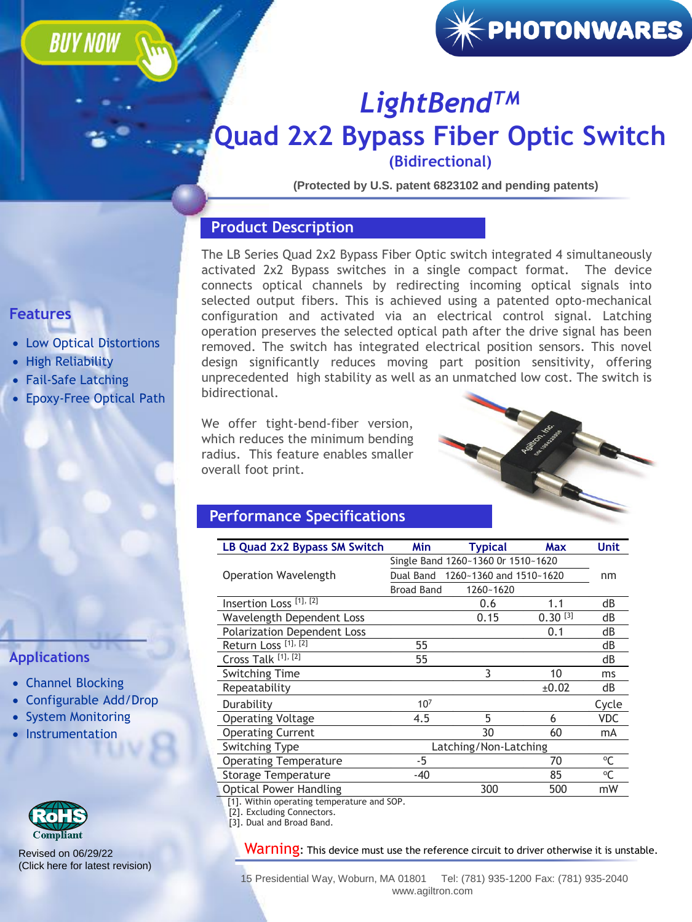**BUY NOW** 

# $\left[\mathcal{H}\right]$ PHOTONWARES $\left[$

### *LightBendTM* **[Quad 2x2 Bypass Fiber Optic Switch](https://agiltron.com/sl/wvyv)  (Bidirectional)**

**(Protected by U.S. patent 6823102 and pending patents)**

#### **Product Description**

The LB Series Quad 2x2 Bypass Fiber Optic switch integrated 4 simultaneously activated 2x2 Bypass switches in a single compact format. The device connects optical channels by redirecting incoming optical signals into selected output fibers. This is achieved using a patented opto-mechanical configuration and activated via an electrical control signal. Latching operation preserves the selected optical path after the drive signal has been removed. The switch has integrated electrical position sensors. This novel design significantly reduces moving part position sensitivity, offering unprecedented high stability as well as an unmatched low cost. The switch is bidirectional.

We offer tight-bend-fiber version, which reduces the minimum bending radius. This feature enables smaller overall foot print.



#### **Performance Specifications**

| <b>LB Quad 2x2 Bypass SM Switch</b>        | Min                                | Typical                           | Max          | Unit        |  |  |
|--------------------------------------------|------------------------------------|-----------------------------------|--------------|-------------|--|--|
|                                            | Single Band 1260~1360 Or 1510~1620 |                                   |              |             |  |  |
| Operation Wavelength                       |                                    | Dual Band 1260~1360 and 1510~1620 |              | nm          |  |  |
|                                            | <b>Broad Band</b>                  | 1260~1620                         |              |             |  |  |
| Insertion Loss <sup>[1], [2]</sup>         |                                    | 0.6                               | 1.1          | dB          |  |  |
| Wavelength Dependent Loss                  |                                    | 0.15                              | $0.30^{[3]}$ | dB          |  |  |
| <b>Polarization Dependent Loss</b>         |                                    |                                   | 0.1          | dB          |  |  |
| Return Loss <sup>[1], [2]</sup>            | 55                                 |                                   |              | dB          |  |  |
| Cross Talk [1], [2]                        | 55                                 |                                   |              | dB          |  |  |
| <b>Switching Time</b>                      |                                    | 3                                 | 10           | ms          |  |  |
| Repeatability                              |                                    |                                   | ±0.02        | dB          |  |  |
| Durability                                 | 10 <sup>7</sup>                    |                                   |              | Cycle       |  |  |
| <b>Operating Voltage</b>                   | 4.5                                | 5                                 | 6            | <b>VDC</b>  |  |  |
| <b>Operating Current</b>                   |                                    | 30                                | 60           | mA          |  |  |
| <b>Switching Type</b>                      | Latching/Non-Latching              |                                   |              |             |  |  |
| <b>Operating Temperature</b>               | -5                                 |                                   | 70           | °C          |  |  |
| Storage Temperature                        | $-40$                              |                                   | 85           | $^{\circ}C$ |  |  |
| <b>Optical Power Handling</b>              |                                    | 300                               | 500          | mW          |  |  |
| [1]. Within operating temperature and SOP. |                                    |                                   |              |             |  |  |

[2]. Excluding Connectors.

[3]. Dual and Broad Band.

Warning: This device must use the reference circuit to driver otherwise it is unstable.

15 Presidential Way, Woburn, MA 01801 Tel: (781) 935-1200 Fax: (781) 935-2040 www.agiltron.com

### **Features**

- Low Optical Distortions
- High Reliability
- Fail-Safe Latching
- Epoxy-Free Optical Path

#### **Applications**

- Channel Blocking
- Configurable Add/Drop
- System Monitoring
- Instrumentation



Revised on 06/29/22 [\(Click here for latest revision\)](https://agiltron.com/dlc/specs/LB_Quad_2x2_SM_Bypassl_Switch.pdf)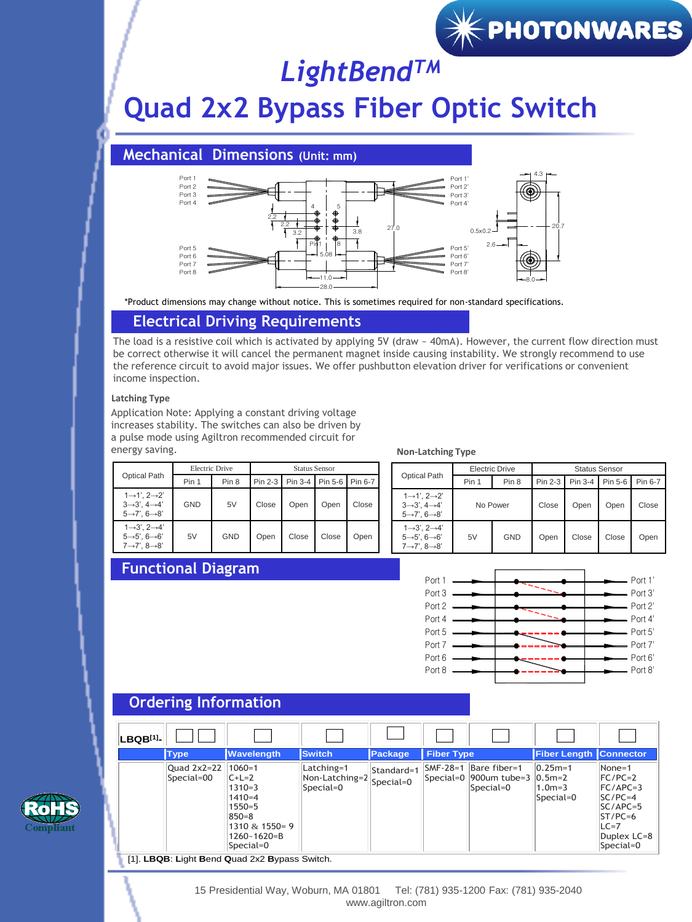## *LightBendTM*

### **Quad 2x2 Bypass Fiber Optic Switch**

**Mechanical Dimensions (Unit: mm)**



\*Product dimensions may change without notice. This is sometimes required for non-standard specifications.

#### **Electrical Driving Requirements**

The load is a resistive coil which is activated by applying 5V (draw ~ 40mA). However, the current flow direction must be correct otherwise it will cancel the permanent magnet inside causing instability. We strongly recommend to use the reference circuit to avoid major issues. We offer pushbutton elevation driver for verifications or convenient income inspection.

#### **Latching Type**

Application Note: Applying a constant driving voltage increases stability. The switches can also be driven by a pulse mode using Agiltron recommended circuit for energy saving.

| <b>Optical Path</b>                                                                                                              | Electric Drive |            | <b>Status Sensor</b> |       |                             |       |
|----------------------------------------------------------------------------------------------------------------------------------|----------------|------------|----------------------|-------|-----------------------------|-------|
|                                                                                                                                  | Pin 1          | Pin 8      | Pin 2-3              |       | Pin 3-4   Pin 5-6   Pin 6-7 |       |
| $1 \rightarrow 1$ '. $2 \rightarrow 2$ '<br>$3 \rightarrow 3$ ', $4 \rightarrow 4$ '<br>$5 \rightarrow 7$ ', $6 \rightarrow 8$ ' | <b>GND</b>     | 5V         | Close                | Open  | Open                        | Close |
| $1 \rightarrow 3$ '. $2 \rightarrow 4$ '<br>$5 \rightarrow 5$ '. $6 \rightarrow 6$ '<br>$7 \rightarrow 7$ ', $8 \rightarrow 8$ ' | 5V             | <b>GND</b> | Open                 | Close | Close                       | Open  |

#### **Non-Latching Type**

| <b>Optical Path</b>                                                                                                          | Electric Drive |            | <b>Status Sensor</b> |         |         |         |
|------------------------------------------------------------------------------------------------------------------------------|----------------|------------|----------------------|---------|---------|---------|
|                                                                                                                              | Pin 1          | Pin 8      | Pin 2-3              | Pin 3-4 | Pin 5-6 | Pin 6-7 |
| $1\rightarrow 1', 2\rightarrow 2'$<br>$3 \rightarrow 3$ ', $4 \rightarrow 4$ '<br>$5 \rightarrow 7$ ', $6 \rightarrow 8$ '   | No Power       |            | Close                | Open    | Open    | Close   |
| $1 \rightarrow 3$ '. $2 \rightarrow 4$ '<br>$5 \rightarrow 5$ ', $6 \rightarrow 6$ '<br>$7 \rightarrow 7', 8 \rightarrow 8'$ | 5V             | <b>GND</b> | Open                 | Close   | Close   | Open    |

 $\left[\mathcal{H}% _{1}\right]$  PHOTONWARES  $\left[ \mathcal{H}_{2}\right]$ 

#### **Functional Diagram**



#### **LBQB[1]- Type Wavelength** Switch **Package Fiber Type Fiber Length Connector** Quad 2x2=22 Special=00 1060=1  $C+L=2$ 1310=3  $1410 = 4$  $1550=5$ 850=8 1310 & 1550= 9 1260~1620=B Special=0 Latching=1 Non-Latching=2 Special=0 Standard=1 Special=0 SMF-28=1 Bare fiber=1 Special=0 900um tube=3 Special=0  $0.25m = 1$ 0.5m=2 1.0m=3 Special=0 None=1 FC/PC=2 FC/APC=3  $SCI/PC=4$  $SCIAPC=5$ ST/PC=6  $LC=7$ Duplex LC=8 Special=0

[1]. **LBQB**: **L**ight **B**end **Q**uad 2x2 **B**ypass Switch.



15 Presidential Way, Woburn, MA 01801 Tel: (781) 935-1200 Fax: (781) 935-2040 www.agiltron.com